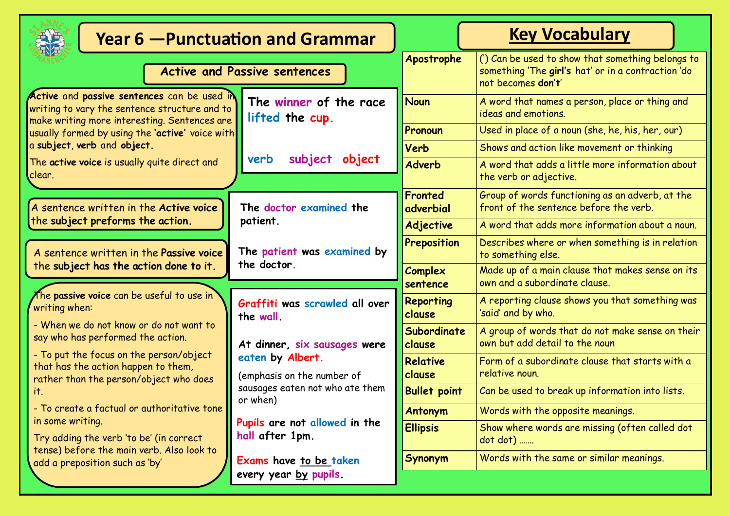| <b>Year 6 - Punctuation and Grammar</b>                                                                                                                                                                                                                                                                                                                                                                                                               |                                                                                                                               |                           | <b>Key Vocabulary</b>                                                                                                         |
|-------------------------------------------------------------------------------------------------------------------------------------------------------------------------------------------------------------------------------------------------------------------------------------------------------------------------------------------------------------------------------------------------------------------------------------------------------|-------------------------------------------------------------------------------------------------------------------------------|---------------------------|-------------------------------------------------------------------------------------------------------------------------------|
| <b>Active and Passive sentences</b>                                                                                                                                                                                                                                                                                                                                                                                                                   |                                                                                                                               | Apostrophe                | (') Can be used to show that something belongs to<br>something 'The girl's hat' or in a contraction 'do<br>not becomes don't' |
| Active and passive sentences can be used in<br>writing to vary the sentence structure and to<br>make writing more interesting. Sentences are                                                                                                                                                                                                                                                                                                          | The winner of the race<br>lifted the cup.<br>subject<br>verb<br>object                                                        | <b>Noun</b>               | A word that names a person, place or thing and<br>ideas and emotions.                                                         |
| usually formed by using the 'active' voice with                                                                                                                                                                                                                                                                                                                                                                                                       |                                                                                                                               | Pronoun                   | Used in place of a noun (she, he, his, her, our)                                                                              |
| a subject, verb and object.                                                                                                                                                                                                                                                                                                                                                                                                                           |                                                                                                                               | Verb                      | Shows and action like movement or thinking                                                                                    |
| The active voice is usually quite direct and<br>clear.                                                                                                                                                                                                                                                                                                                                                                                                |                                                                                                                               | <b>Adverb</b>             | A word that adds a little more information about<br>the verb or adjective.                                                    |
| A sentence written in the Active voice<br>the subject preforms the action.                                                                                                                                                                                                                                                                                                                                                                            | The doctor examined the<br>patient.                                                                                           | Fronted<br>adverbial      | Group of words functioning as an adverb, at the<br>front of the sentence before the verb.                                     |
|                                                                                                                                                                                                                                                                                                                                                                                                                                                       |                                                                                                                               | <b>Adjective</b>          | A word that adds more information about a noun.                                                                               |
| A sentence written in the Passive voice                                                                                                                                                                                                                                                                                                                                                                                                               | The patient was examined by<br>the doctor.                                                                                    | Preposition               | Describes where or when something is in relation<br>to something else.                                                        |
| the subject has the action done to it.                                                                                                                                                                                                                                                                                                                                                                                                                |                                                                                                                               | Complex<br>sentence       | Made up of a main clause that makes sense on its<br>own and a subordinate clause.                                             |
| The passive voice can be useful to use in $\check{}\,$<br>writing when:<br>- When we do not know or do not want to<br>say who has performed the action.<br>- To put the focus on the person/object<br>that has the action happen to them,<br>rather than the person/object who does<br>it.<br>- To create a factual or authoritative tone<br>in some writing.<br>Try adding the verb 'to be' (in correct<br>tense) before the main verb. Also look to | Graffiti was scrawled all over<br>the wall.                                                                                   | Reporting<br>clause       | A reporting clause shows you that something was<br>'said' and by who.                                                         |
|                                                                                                                                                                                                                                                                                                                                                                                                                                                       | At dinner, six sausages were<br>eaten by Albert.<br>(emphasis on the number of<br>sausages eaten not who ate them<br>or when) | Subordinate<br>clause     | A group of words that do not make sense on their<br>own but add detail to the noun                                            |
|                                                                                                                                                                                                                                                                                                                                                                                                                                                       |                                                                                                                               | <b>Relative</b><br>clause | Form of a subordinate clause that starts with a<br>relative noun.                                                             |
|                                                                                                                                                                                                                                                                                                                                                                                                                                                       |                                                                                                                               | <b>Bullet point</b>       | Can be used to break up information into lists.                                                                               |
|                                                                                                                                                                                                                                                                                                                                                                                                                                                       |                                                                                                                               | <b>Antonym</b>            | Words with the opposite meanings.                                                                                             |
|                                                                                                                                                                                                                                                                                                                                                                                                                                                       | Pupils are not allowed in the<br>hall after 1pm.                                                                              | <b>Ellipsis</b>           | Show where words are missing (often called dot<br>dot dot)                                                                    |
| add a preposition such as 'by'                                                                                                                                                                                                                                                                                                                                                                                                                        | Exams have to be taken                                                                                                        | <b>Synonym</b>            | Words with the same or similar meanings.                                                                                      |
|                                                                                                                                                                                                                                                                                                                                                                                                                                                       | every year by pupils.                                                                                                         |                           |                                                                                                                               |